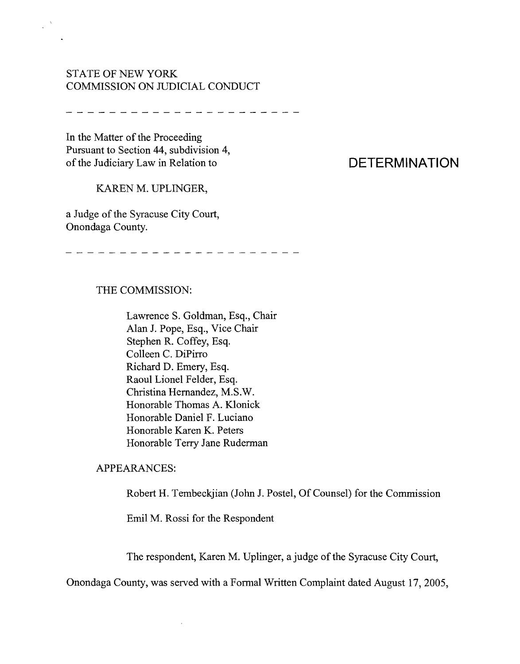# STATE OF NEW YORK COMMISSION ON JUDICIAL CONDUCT

In the Matter of the Proceeding Pursuant to Section 44, subdivision 4, of the Judiciary Law in Relation to

 $\mathcal{L}^{\mathcal{N}}$ 

# KAREN M. UPLINGER,

a Judge of the Syracuse City Court, Onondaga County.

---------------------

## THE COMMISSION:

Lawrence S. Goldman, Esq., Chair Alan 1. Pope, Esq., Vice Chair Stephen R. Coffey, Esq. Colleen C. DiPirro Richard D. Emery, Esq. Raoul Lionel Felder, Esq. Christina Hernandez, M.S.W. Honorable Thomas A. Klonick Honorable Daniel F. Luciano Honorable Karen K. Peters Honorable Terry Jane Ruderman

#### APPEARANCES:

Robert H. Tembeckjian (John J. Postel, Of Counsel) for the Commission

Emil M. Rossi for the Respondent

 $\bar{z}$ 

The respondent, Karen M. Uplinger, a judge of the Syracuse City Court,

Onondaga County, was served with a Formal Written Complaint dated August 17, 2005,

# **DETERMINATION**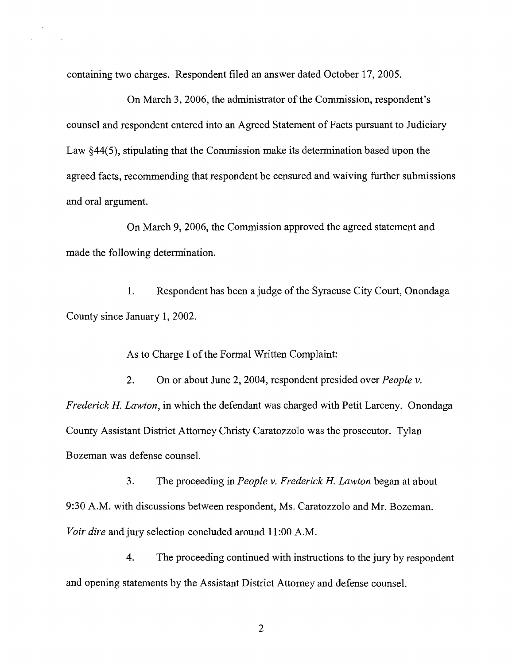containing two charges. Respondent filed an answer dated October 17,2005.

On March 3, 2006, the administrator of the Commission, respondent's counsel and respondent entered into an Agreed Statement of Facts pursuant to Judiciary Law §44(5), stipulating that the Commission make its determination based upon the agreed facts, recommending that respondent be censured and waiving further submissions and oral argument.

On March 9,2006, the Commission approved the agreed statement and made the following determination.

1. Respondent has been a judge of the Syracuse City Court, Onondaga County since January 1, 2002.

As to Charge I of the Formal Written Complaint:

2. On or about June 2, 2004, respondent presided over *People* v. *Frederick H. Lawton,* in which the defendant was charged with Petit Larceny. Onondaga County Assistant District Attorney Christy Caratozzolo was the prosecutor. Tylan Bozeman was defense counsel.

3. The proceeding in *People* v. *Frederick H. Lawton* began at about 9:30 A.M. with discussions between respondent, Ms. Caratozzolo and Mr. Bozeman. *Voir dire* and jury selection concluded around 11:00 A.M.

4. The proceeding continued with instructions to the jury by respondent and opening statements by the Assistant District Attorney and defense counsel.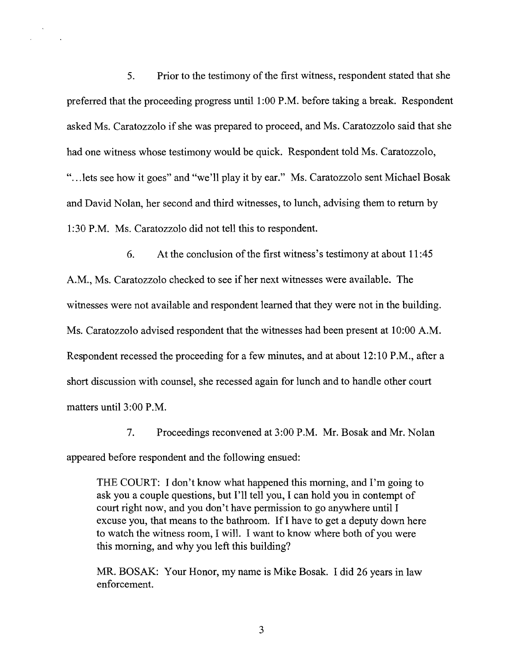5. Prior to the testimony of the first witness, respondent stated that she preferred that the proceeding progress until 1:00 P.M. before taking a break. Respondent asked Ms. Caratozzolo if she was prepared to proceed, and Ms. Caratozzolo said that she had one witness whose testimony would be quick. Respondent told Ms. Caratozzolo, ".. .lets see how it goes" and "we'll play it by ear." Ms. Caratozzolo sent Michael Bosak and David Nolan, her second and third witnesses, to lunch, advising them to return by 1:30 P.M. Ms. Caratozzolo did not tell this to respondent.

6. At the conclusion of the first witness's testimony at about  $11:45$ A.M., Ms. Caratozzolo checked to see if her next witnesses were available. The witnesses were not available and respondent learned that they were not in the building. Ms. Caratozzolo advised respondent that the witnesses had been present at 10:00 A.M. Respondent recessed the proceeding for a few minutes, and at about 12:10 P.M., after a short discussion with counsel, she recessed again for lunch and to handle other court matters until 3:00 P.M.

7. Proceedings reconvened at 3:00 P.M. Mr. Bosak and Mr. Nolan appeared before respondent and the following ensued:

THE COURT: I don't know what happened this morning, and I'm going to ask you a couple questions, but I'll tell you, I can hold you in contempt of court right now, and you don't have permission to go anywhere until I excuse you, that means to the bathroom. IfI have to get a deputy down here to watch the witness room, I will. I want to know where both of you were this morning, and why you left this building?

MR. BOSAK: Your Honor, my name is Mike Bosak. I did 26 years in law enforcement.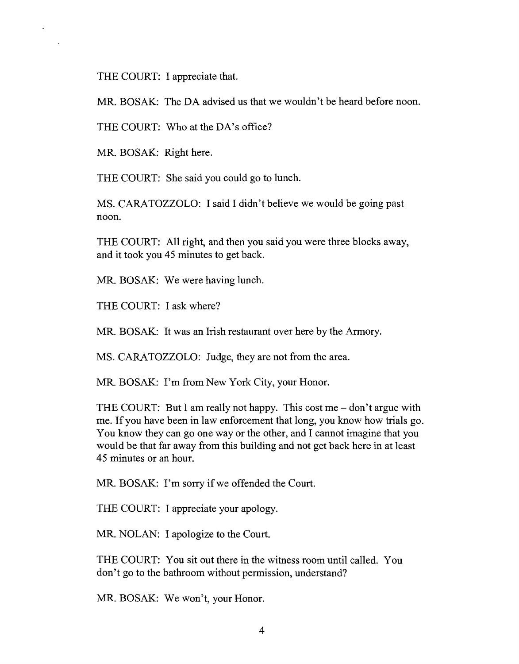THE COURT: I appreciate that.

 $\ddot{\phantom{a}}$ 

MR. BOSAK: The DA advised us that we wouldn't be heard before noon.

THE COURT: Who at the DA's office?

MR. BOSAK: Right here.

THE COURT: She said you could go to lunch.

MS. CARATOZZOLO: I said I didn't believe we would be going past noon.

THE COURT: All right, and then you said you were three blocks away, and it took you 45 minutes to get back.

MR. BOSAK: We were having lunch.

THE COURT: I ask where?

MR. BOSAK: It was an Irish restaurant over here by the Armory.

MS. CARATOZZOLO: Judge, they are not from the area.

MR. BOSAK: I'm from New York City, your Honor.

THE COURT: But I am really not happy. This cost me  $-$  don't argue with me. If you have been in law enforcement that long, you know how trials go. You know they can go one way or the other, and I cannot imagine that you would be that far away from this building and not get back here in at least 45 minutes or an hour.

MR. BOSAK: I'm sorry if we offended the Court.

THE COURT: I appreciate your apology.

MR. NOLAN: I apologize to the Court.

THE COURT: You sit out there in the witness room until called. You don't go to the bathroom without permission, understand?

MR. BOSAK: We won't, your Honor.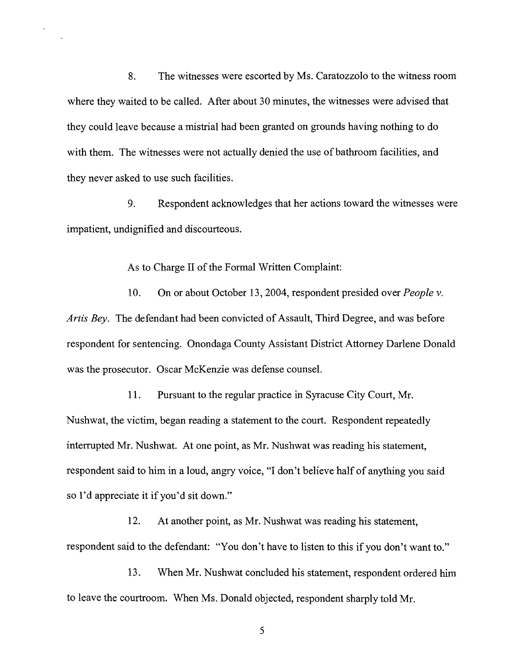8. The witnesses were escorted by Ms. Caratozzolo to the witness room where they waited to be called. After about 30 minutes, the witnesses were advised that they could leave because a mistrial had been granted on grounds having nothing to do with them. The witnesses were not actually denied the use of bathroom facilities, and they never asked to use such facilities.

9. Respondent acknowledges that her actions toward the witnesses were impatient, undignified and discourteous.

As to Charge II of the Formal Written Complaint:

10. On or about October 13,2004, respondent presided over *People* v. *Artis Bey.* The defendant had been convicted of Assault, Third Degree, and was before respondent for sentencing. Onondaga County Assistant District Attorney Darlene Donald was the prosecutor. Oscar McKenzie was defense counsel.

11. Pursuant to the regular practice in Syracuse City Court, Mr. Nushwat, the victim, began reading a statement to the court. Respondent repeatedly interrupted Mr. Nushwat. At one point, as Mr. Nushwat was reading his statement, respondent said to him in a loud, angry voice, "1 don't believe half of anything you said so I'd appreciate it if you'd sit down."

12. At another point, as Mr. Nushwat was reading his statement, respondent said to the defendant: "You don't have to listen to this if you don't want to."

13. When Mr. Nushwat concluded his statement, respondent ordered him to leave the courtroom. When Ms. Donald objected, respondent sharply told Mr.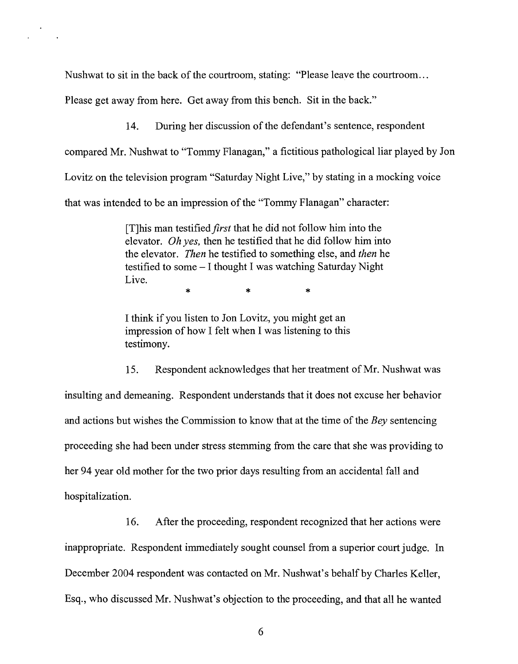Nushwat to sit in the back of the courtroom, stating: "Please leave the courtroom...

Please get away from here. Get away from this bench. Sit in the back."

14. During her discussion of the defendant's sentence, respondent

compared Mr. Nushwat to "Tommy Flanagan," a fictitious pathological liar played by Jon

Lovitz on the television program "Saturday Night Live," by stating in a mocking voice

that was intended to be an impression of the "Tommy Flanagan" character:

[T]his man testified*first* that he did not follow him into the elevator. *Oh yes,* then he testified that he did follow him into the elevator. *Then* he testified to something else, and *then* he testified to some - I thought I was watching Saturday Night Live.

\* \* \*

I think if you listen to Jon Lovitz, you might get an impression of how I felt when I was listening to this testimony.

15. Respondent acknowledges that her treatment of Mr. Nushwat was insulting and demeaning. Respondent understands that it does not excuse her behavior and actions but wishes the Commission to know that at the time of the *Bey* sentencing proceeding she had been under stress stemming from the care that she was providing to her 94 year old mother for the two prior days resulting from an accidental fall and hospitalization.

16. After the proceeding, respondent recognized that her actions were inappropriate. Respondent immediately sought counsel from a superior court judge. In December 2004 respondent was contacted on Mr. Nushwat's behalf by Charles Keller, Esq., who discussed Mr. Nushwat's objection to the proceeding, and that all he wanted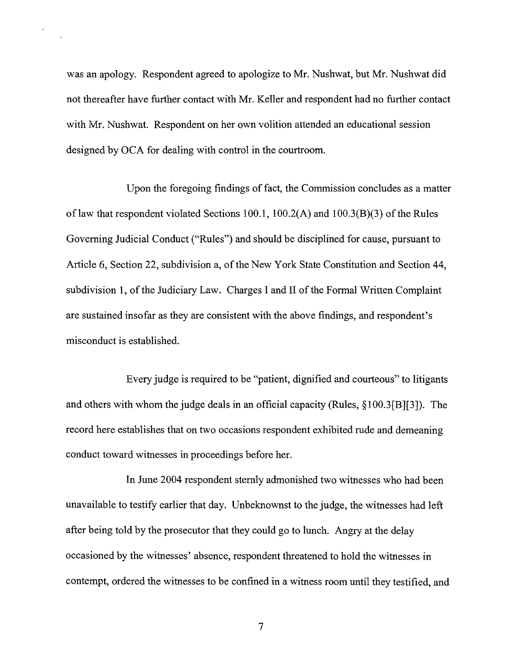was an apology. Respondent agreed to apologize to Mr. Nushwat, but Mr. Nushwat did not thereafter have further contact with Mr. Keller and respondent had no further contact with Mr. Nushwat. Respondent on her own volition attended an educational session designed by OCA for dealing with control in the courtroom.

Upon the foregoing findings of fact, the Commission concludes as a matter of law that respondent violated Sections 100.1,  $100.2(A)$  and  $100.3(B)(3)$  of the Rules Governing Judicial Conduct ("Rules") and should be disciplined for cause, pursuant to Article 6, Section 22, subdivision a, of the New York State Constitution and Section 44, subdivision 1, of the Judiciary Law. Charges I and II of the Formal Written Complaint are sustained insofar as they are consistent with the above findings, and respondent's misconduct is established.

Every judge is required to be "patient, dignified and courteous" to litigants and others with whom the judge deals in an official capacity (Rules, §100.3[B][3]). The record here establishes that on two occasions respondent exhibited rude and demeaning conduct toward witnesses in proceedings before her.

In June 2004 respondent sternly admonished two witnesses who had been unavailable to testify earlier that day. Unbeknownst to the judge, the witnesses had left after being told by the prosecutor that they could go to lunch. Angry at the delay occasioned by the witnesses' absence, respondent threatened to hold the witnesses in contempt, ordered the witnesses to be confined in a witness room until they testified, and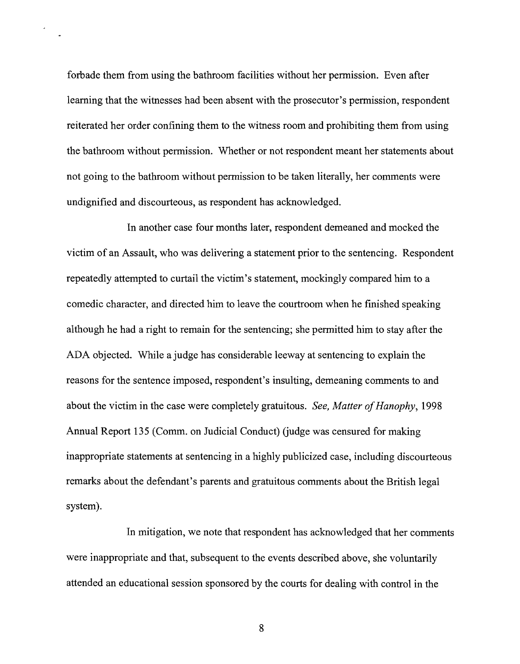forbade them from using the bathroom facilities without her permission. Even after learning that the witnesses had been absent with the prosecutor's permission, respondent reiterated her order confining them to the witness room and prohibiting them from using the bathroom without permission. Whether or not respondent meant her statements about not going to the bathroom without permission to be taken literally, her comments were undignified and discourteous, as respondent has acknowledged.

In another case four months later, respondent demeaned and mocked the victim of an Assault, who was delivering a statement prior to the sentencing. Respondent repeatedly attempted to curtail the victim's statement, mockingly compared him to a comedic character, and directed him to leave the courtroom when he finished speaking although he had a right to remain for the sentencing; she permitted him to stay after the ADA objected. While a judge has considerable leeway at sentencing to explain the reasons for the sentence imposed, respondent's insulting, demeaning comments to and about the victim in the case were completely gratuitous. *See, Matter of Hanophy*, 1998 Annual Report 135 (Comm. on Judicial Conduct) (judge was censured for making inappropriate statements at sentencing in a highly publicized case, including discourteous remarks about the defendant's parents and gratuitous comments about the British legal system).

In mitigation, we note that respondent has acknowledged that her comments were inappropriate and that, subsequent to the events described above, she voluntarily attended an educational session sponsored by the courts for dealing with control in the